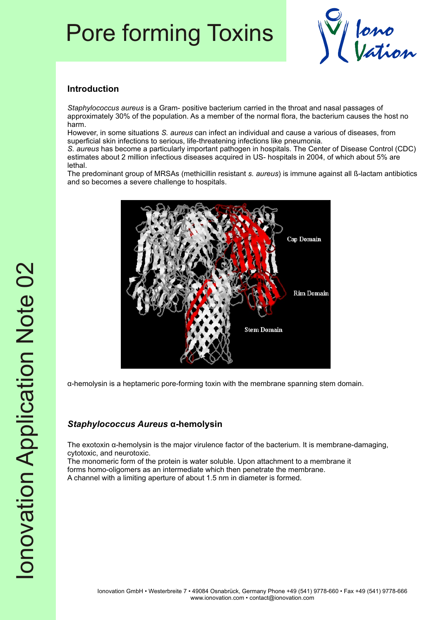# Pore forming Toxins



#### **Introduction**

*Staphylococcus aureus* is a Gram- positive bacterium carried in the throat and nasal passages of approximately 30% of the population. As a member of the normal flora, the bacterium causes the host no harm.

However, in some situations *S. aureus* can infect an individual and cause a various of diseases, from superficial skin infections to serious, life-threatening infections like pneumonia.

*S. aureus* has become a particularly important pathogen in hospitals. The Center of Disease Control (CDC) estimates about 2 million infectious diseases acquired in US- hospitals in 2004, of which about 5% are lethal.

The predominant group of MRSAs (methicillin resistant *s. aureus*) is immune against all ß-lactam antibiotics and so becomes a severe challenge to hospitals.



á-hemolysin is a heptameric pore-forming toxin with the membrane spanning stem domain.

## *Staphylococcus Aureus* **á-hemolysin**

The exotoxin  $\alpha$ -hemolysin is the major virulence factor of the bacterium. It is membrane-damaging, cytotoxic, and neurotoxic.

The monomeric form of the protein is water soluble. Upon attachment to a membrane it forms homo-oligomers as an intermediate which then penetrate the membrane. A channel with a limiting aperture of about 1.5 nm in diameter is formed.